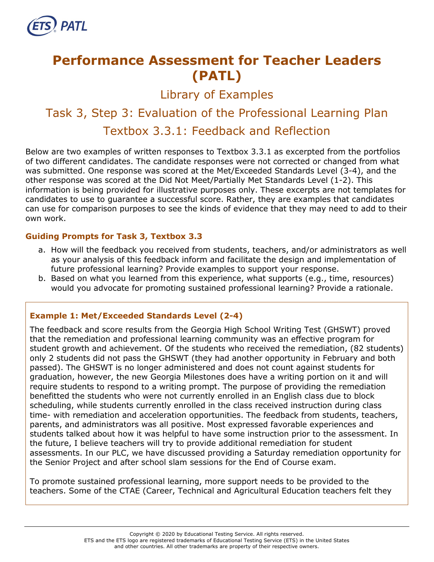

# **Performance Assessment for Teacher Leaders (PATL)**

Library of Examples

# Task 3, Step 3: Evaluation of the Professional Learning Plan Textbox 3.3.1: Feedback and Reflection

Below are two examples of written responses to Textbox 3.3.1 as excerpted from the portfolios of two different candidates. The candidate responses were not corrected or changed from what was submitted. One response was scored at the Met/Exceeded Standards Level (3-4), and the other response was scored at the Did Not Meet/Partially Met Standards Level (1-2). This information is being provided for illustrative purposes only. These excerpts are not templates for candidates to use to guarantee a successful score. Rather, they are examples that candidates can use for comparison purposes to see the kinds of evidence that they may need to add to their own work.

#### **Guiding Prompts for Task 3, Textbox 3.3**

- a. How will the feedback you received from students, teachers, and/or administrators as well as your analysis of this feedback inform and facilitate the design and implementation of future professional learning? Provide examples to support your response.
- b. Based on what you learned from this experience, what supports (e.g., time, resources) would you advocate for promoting sustained professional learning? Provide a rationale.

## **Example 1: Met/Exceeded Standards Level (2-4)**

The feedback and score results from the Georgia High School Writing Test (GHSWT) proved that the remediation and professional learning community was an effective program for student growth and achievement. Of the students who received the remediation, (82 students) only 2 students did not pass the GHSWT (they had another opportunity in February and both passed). The GHSWT is no longer administered and does not count against students for graduation, however, the new Georgia Milestones does have a writing portion on it and will require students to respond to a writing prompt. The purpose of providing the remediation benefitted the students who were not currently enrolled in an English class due to block scheduling, while students currently enrolled in the class received instruction during class time- with remediation and acceleration opportunities. The feedback from students, teachers, parents, and administrators was all positive. Most expressed favorable experiences and students talked about how it was helpful to have some instruction prior to the assessment. In the future, I believe teachers will try to provide additional remediation for student assessments. In our PLC, we have discussed providing a Saturday remediation opportunity for the Senior Project and after school slam sessions for the End of Course exam.

To promote sustained professional learning, more support needs to be provided to the teachers. Some of the CTAE (Career, Technical and Agricultural Education teachers felt they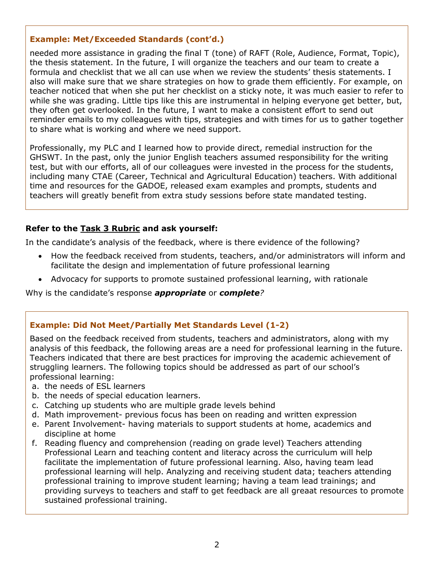#### **Example: Met/Exceeded Standards (cont'd.)**

needed more assistance in grading the final T (tone) of RAFT (Role, Audience, Format, Topic), the thesis statement. In the future, I will organize the teachers and our team to create a formula and checklist that we all can use when we review the students' thesis statements. I also will make sure that we share strategies on how to grade them efficiently. For example, on teacher noticed that when she put her checklist on a sticky note, it was much easier to refer to while she was grading. Little tips like this are instrumental in helping everyone get better, but, they often get overlooked. In the future, I want to make a consistent effort to send out reminder emails to my colleagues with tips, strategies and with times for us to gather together to share what is working and where we need support.

Professionally, my PLC and I learned how to provide direct, remedial instruction for the GHSWT. In the past, only the junior English teachers assumed responsibility for the writing test, but with our efforts, all of our colleagues were invested in the process for the students, including many CTAE (Career, Technical and Agricultural Education) teachers. With additional time and resources for the GADOE, released exam examples and prompts, students and teachers will greatly benefit from extra study sessions before state mandated testing.

#### **Refer to the [Task 3](http://gace.ets.org/s/pdf/gace_teacher_leadership_assessment_task_3_rubric.pdf) Rubric and ask yourself:**

In the candidate's analysis of the feedback, where is there evidence of the following?

- How the feedback received from students, teachers, and/or administrators will inform and facilitate the design and implementation of future professional learning
- Advocacy for supports to promote sustained professional learning, with rationale

Why is the candidate's response *appropriate* or *complete?*

## **Example: Did Not Meet/Partially Met Standards Level (1-2)**

Based on the feedback received from students, teachers and administrators, along with my analysis of this feedback, the following areas are a need for professional learning in the future. Teachers indicated that there are best practices for improving the academic achievement of struggling learners. The following topics should be addressed as part of our school's professional learning:

- a. the needs of ESL learners
- b. the needs of special education learners.
- c. Catching up students who are multiple grade levels behind
- d. Math improvement- previous focus has been on reading and written expression
- e. Parent Involvement- having materials to support students at home, academics and discipline at home
- f. Reading fluency and comprehension (reading on grade level) Teachers attending Professional Learn and teaching content and literacy across the curriculum will help facilitate the implementation of future professional learning. Also, having team lead professional learning will help. Analyzing and receiving student data; teachers attending professional training to improve student learning; having a team lead trainings; and providing surveys to teachers and staff to get feedback are all greaat resources to promote sustained professional training.